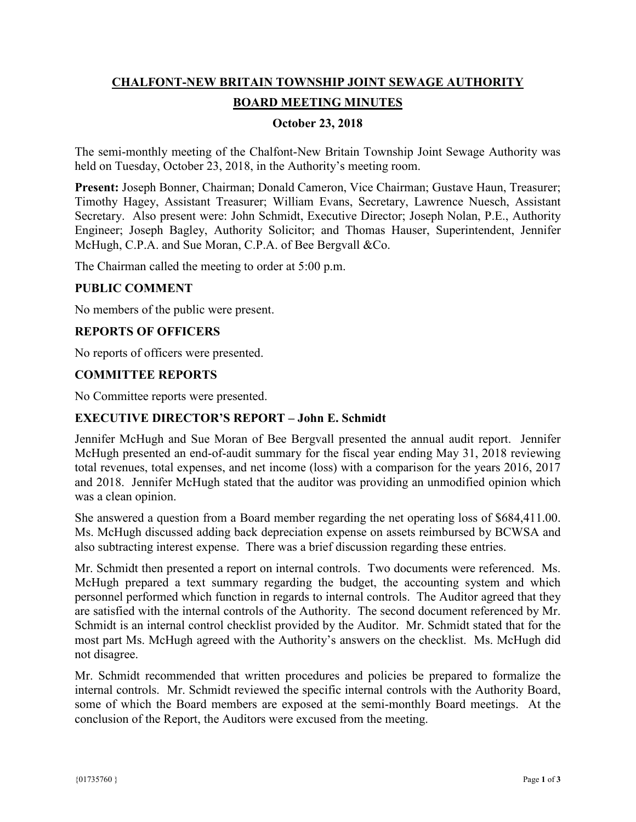# **CHALFONT-NEW BRITAIN TOWNSHIP JOINT SEWAGE AUTHORITY BOARD MEETING MINUTES**

# **October 23, 2018**

The semi-monthly meeting of the Chalfont-New Britain Township Joint Sewage Authority was held on Tuesday, October 23, 2018, in the Authority's meeting room.

**Present:** Joseph Bonner, Chairman; Donald Cameron, Vice Chairman; Gustave Haun, Treasurer; Timothy Hagey, Assistant Treasurer; William Evans, Secretary, Lawrence Nuesch, Assistant Secretary. Also present were: John Schmidt, Executive Director; Joseph Nolan, P.E., Authority Engineer; Joseph Bagley, Authority Solicitor; and Thomas Hauser, Superintendent, Jennifer McHugh, C.P.A. and Sue Moran, C.P.A. of Bee Bergvall &Co.

The Chairman called the meeting to order at 5:00 p.m.

## **PUBLIC COMMENT**

No members of the public were present.

## **REPORTS OF OFFICERS**

No reports of officers were presented.

#### **COMMITTEE REPORTS**

No Committee reports were presented.

## **EXECUTIVE DIRECTOR'S REPORT – John E. Schmidt**

Jennifer McHugh and Sue Moran of Bee Bergvall presented the annual audit report. Jennifer McHugh presented an end-of-audit summary for the fiscal year ending May 31, 2018 reviewing total revenues, total expenses, and net income (loss) with a comparison for the years 2016, 2017 and 2018. Jennifer McHugh stated that the auditor was providing an unmodified opinion which was a clean opinion.

She answered a question from a Board member regarding the net operating loss of \$684,411.00. Ms. McHugh discussed adding back depreciation expense on assets reimbursed by BCWSA and also subtracting interest expense. There was a brief discussion regarding these entries.

Mr. Schmidt then presented a report on internal controls. Two documents were referenced. Ms. McHugh prepared a text summary regarding the budget, the accounting system and which personnel performed which function in regards to internal controls. The Auditor agreed that they are satisfied with the internal controls of the Authority. The second document referenced by Mr. Schmidt is an internal control checklist provided by the Auditor. Mr. Schmidt stated that for the most part Ms. McHugh agreed with the Authority's answers on the checklist. Ms. McHugh did not disagree.

Mr. Schmidt recommended that written procedures and policies be prepared to formalize the internal controls. Mr. Schmidt reviewed the specific internal controls with the Authority Board, some of which the Board members are exposed at the semi-monthly Board meetings. At the conclusion of the Report, the Auditors were excused from the meeting.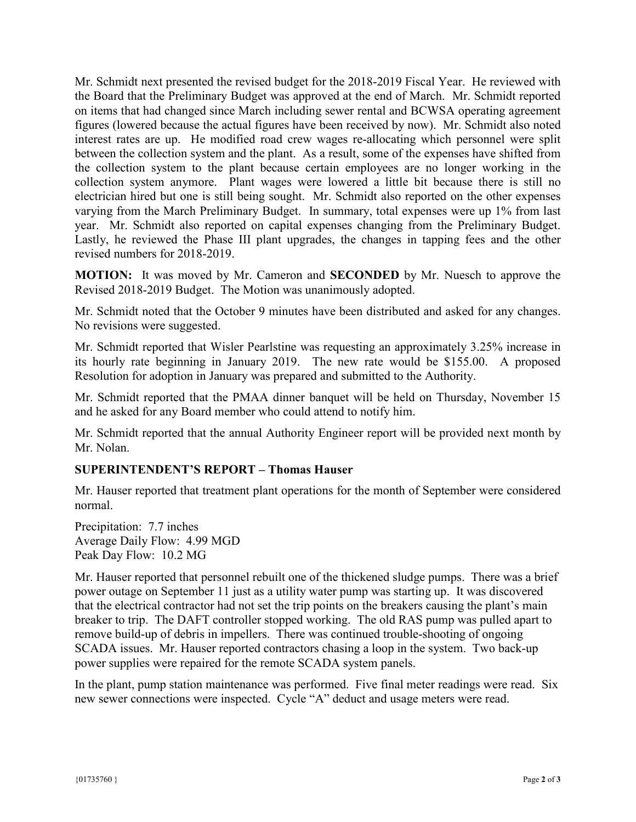Mr. Schmidt next presented the revised budget for the 2018-2019 Fiscal Year. He reviewed with the Board that the Preliminary Budget was approved at the end of March. Mr. Schmidt reported on items that had changed since March including sewer rental and BCWSA operating agreement figures (lowered because the actual figures have been received by now). Mr. Schmidt also noted interest rates are up. He modified road crew wages re-allocating which personnel were split between the collection system and the plant. As a result, some of the expenses have shifted from the collection system to the plant because certain employees are no longer working in the collection system anymore. Plant wages were lowered a little bit because there is still no electrician hired but one is still being sought. Mr. Schmidt also reported on the other expenses varying from the March Preliminary Budget. In summary, total expenses were up 1% from last year. Mr. Schmidt also reported on capital expenses changing from the Preliminary Budget. Lastly, he reviewed the Phase III plant upgrades, the changes in tapping fees and the other revised numbers for 2018-2019.

**MOTION:** It was moved by Mr. Cameron and **SECONDED** by Mr. Nuesch to approve the Revised 2018-2019 Budget. The Motion was unanimously adopted.

Mr. Schmidt noted that the October 9 minutes have been distributed and asked for any changes. No revisions were suggested.

Mr. Schmidt reported that Wisler Pearlstine was requesting an approximately 3.25% increase in its hourly rate beginning in January 2019. The new rate would be \$155.00. A proposed Resolution for adoption in January was prepared and submitted to the Authority.

Mr. Schmidt reported that the PMAA dinner banquet will be held on Thursday, November 15 and he asked for any Board member who could attend to notify him.

Mr. Schmidt reported that the annual Authority Engineer report will be provided next month by Mr. Nolan.

# **SUPERINTENDENT'S REPORT – Thomas Hauser**

Mr. Hauser reported that treatment plant operations for the month of September were considered normal.

Precipitation: 7.7 inches Average Daily Flow: 4.99 MGD Peak Day Flow: 10.2 MG

Mr. Hauser reported that personnel rebuilt one of the thickened sludge pumps. There was a brief power outage on September 11 just as a utility water pump was starting up. It was discovered that the electrical contractor had not set the trip points on the breakers causing the plant's main breaker to trip. The DAFT controller stopped working. The old RAS pump was pulled apart to remove build-up of debris in impellers. There was continued trouble-shooting of ongoing SCADA issues. Mr. Hauser reported contractors chasing a loop in the system. Two back-up power supplies were repaired for the remote SCADA system panels.

In the plant, pump station maintenance was performed. Five final meter readings were read. Six new sewer connections were inspected. Cycle "A" deduct and usage meters were read.